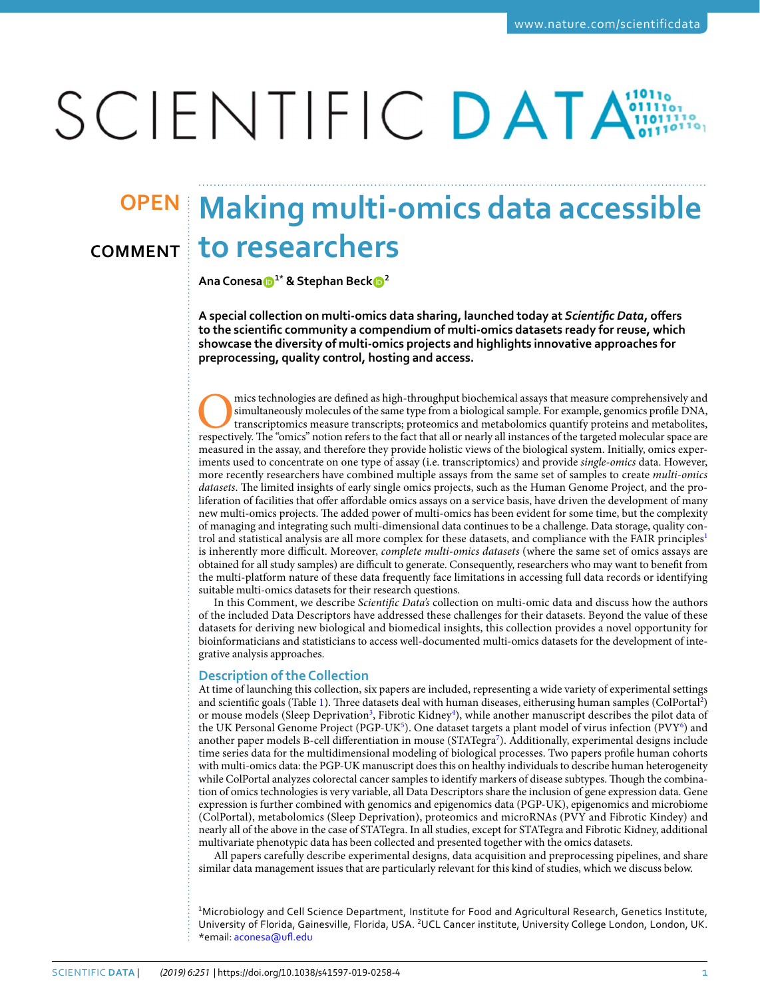# SCIENTIFIC DATA

## **Making multi-omics data accessible OPENto researchers Comment**

**AnaConesa 1\* & Stephan Beck <sup>2</sup>**

**A special collection on multi-omics data sharing, launched today at** *Scientifc Data***, ofers to the scientifc community a compendium of multi-omics datasets ready for reuse, which showcase the diversity of multi-omics projects and highlights innovative approaches for preprocessing, quality control, hosting and access.**

mics technologies are defined as high-throughput biochemical assays that measure comprehensively and simultaneously molecules of the same type from a biological sample. For example, genomics profile DNA, transcriptomics me simultaneously molecules of the same type from a biological sample. For example, genomics profle DNA, transcriptomics measure transcripts; proteomics and metabolomics quantify proteins and metabolites, measured in the assay, and therefore they provide holistic views of the biological system. Initially, omics experiments used to concentrate on one type of assay (i.e. transcriptomics) and provide *single-omics* data. However, more recently researchers have combined multiple assays from the same set of samples to create *multi-omics datasets*. The limited insights of early single omics projects, such as the Human Genome Project, and the proliferation of facilities that ofer afordable omics assays on a service basis, have driven the development of many new multi-omics projects. The added power of multi-omics has been evident for some time, but the complexity of managing and integrating such multi-dimensional data continues to be a challenge. Data storage, quality con-trol and statistical analysis are all more complex for these datasets, and compliance with the FAIR principles<sup>[1](#page-3-0)</sup> is inherently more difcult. Moreover, *complete multi-omics datasets* (where the same set of omics assays are obtained for all study samples) are difcult to generate. Consequently, researchers who may want to beneft from the multi-platform nature of these data frequently face limitations in accessing full data records or identifying suitable multi-omics datasets for their research questions.

In this Comment, we describe *Scientifc Data's* collection on multi-omic data and discuss how the authors of the included Data Descriptors have addressed these challenges for their datasets. Beyond the value of these datasets for deriving new biological and biomedical insights, this collection provides a novel opportunity for bioinformaticians and statisticians to access well-documented multi-omics datasets for the development of integrative analysis approaches.

### **Description of the Collection**

At time of launching this collection, six papers are included, representing a wide variety of experimental settings and scientific goals (Table [1](#page-1-0)). Three datasets deal with human diseases, eitherusing human samples (ColPortal<sup>[2](#page-3-1)</sup>) or mouse models (Sleep Deprivation<sup>3</sup>, Fibrotic Kidney<sup>[4](#page-3-3)</sup>), while another manuscript describes the pilot data of the UK Personal Genome Project (PGP-UK<sup>5</sup>). One dataset targets a plant model of virus infection (PVY<sup>[6](#page-3-5)</sup>) and another paper models B-cell differentiation in mouse (STATegra<sup>[7](#page-3-6)</sup>). Additionally, experimental designs include time series data for the multidimensional modeling of biological processes. Two papers profle human cohorts with multi-omics data: the PGP-UK manuscript does this on healthy individuals to describe human heterogeneity while ColPortal analyzes colorectal cancer samples to identify markers of disease subtypes. Tough the combination of omics technologies is very variable, all Data Descriptors share the inclusion of gene expression data. Gene expression is further combined with genomics and epigenomics data (PGP-UK), epigenomics and microbiome (ColPortal), metabolomics (Sleep Deprivation), proteomics and microRNAs (PVY and Fibrotic Kindey) and nearly all of the above in the case of STATegra. In all studies, except for STATegra and Fibrotic Kidney, additional multivariate phenotypic data has been collected and presented together with the omics datasets.

All papers carefully describe experimental designs, data acquisition and preprocessing pipelines, and share similar data management issues that are particularly relevant for this kind of studies, which we discuss below.

<sup>1</sup>Microbiology and Cell Science Department, Institute for Food and Agricultural Research, Genetics Institute, University of Florida, Gainesville, Florida, USA. <sup>2</sup>UCL Cancer institute, University College London, London, UK. \*email: [aconesa@uf.edu](mailto:aconesa@ufl.edu)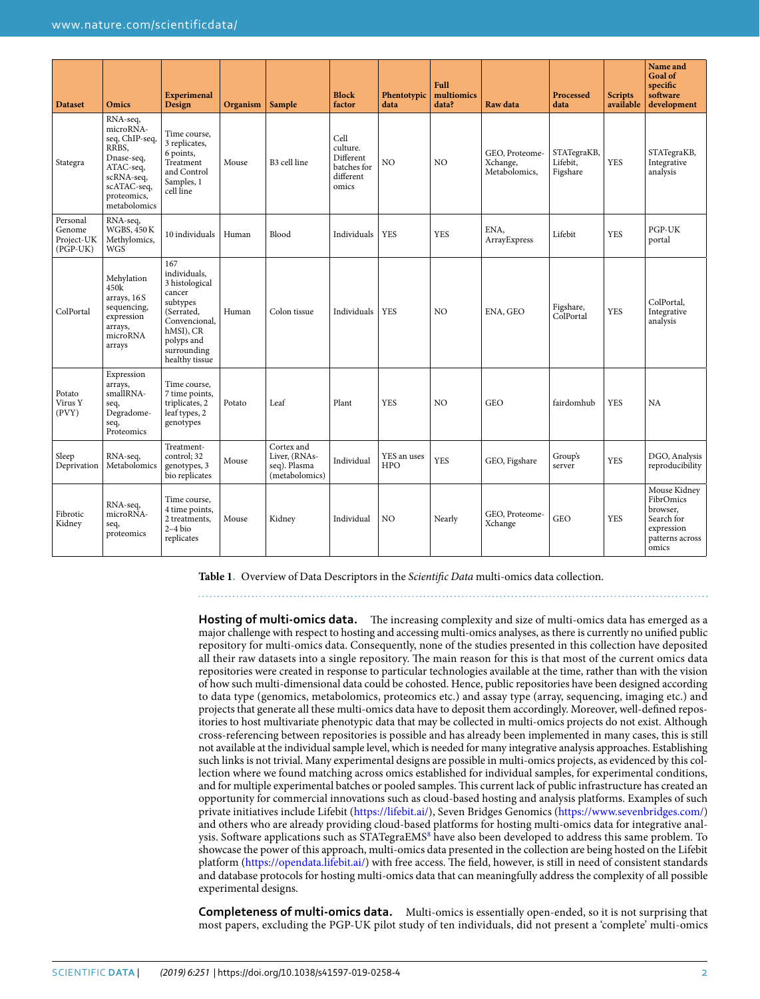<span id="page-1-0"></span>

| <b>Dataset</b>                                 | <b>Omics</b>                                                                                                                            | <b>Experimenal</b><br>Design                                                                                                                           | Organism | Sample                                                        | <b>Block</b><br>factor                                             | Phentotypic<br>data | Full<br>multiomics<br>data? | Raw data                                    | Processed<br>data                   | <b>Scripts</b><br>available | Name and<br><b>Goal of</b><br>specific<br>software<br>development                             |
|------------------------------------------------|-----------------------------------------------------------------------------------------------------------------------------------------|--------------------------------------------------------------------------------------------------------------------------------------------------------|----------|---------------------------------------------------------------|--------------------------------------------------------------------|---------------------|-----------------------------|---------------------------------------------|-------------------------------------|-----------------------------|-----------------------------------------------------------------------------------------------|
| Stategra                                       | RNA-seq,<br>microRNA-<br>seq, ChIP-seq,<br>RRBS.<br>Dnase-seq,<br>ATAC-seq,<br>scRNA-seq,<br>scATAC-seq,<br>proteomics,<br>metabolomics | Time course,<br>3 replicates,<br>6 points,<br>Treatment<br>and Control<br>Samples, 1<br>cell line                                                      | Mouse    | B3 cell line                                                  | Cell<br>culture.<br>Different<br>batches for<br>different<br>omics | NO                  | NO                          | GEO, Proteome-<br>Xchange,<br>Metabolomics, | STATegraKB,<br>Lifebit,<br>Figshare | <b>YES</b>                  | STATegraKB,<br>Integrative<br>analysis                                                        |
| Personal<br>Genome<br>Project-UK<br>$(PGP-UK)$ | RNA-seq,<br><b>WGBS, 450 K</b><br>Methylomics,<br><b>WGS</b>                                                                            | 10 individuals                                                                                                                                         | Human    | Blood                                                         | Individuals                                                        | <b>YES</b>          | <b>YES</b>                  | ENA,<br>ArrayExpress                        | Lifebit                             | <b>YES</b>                  | PGP-UK<br>portal                                                                              |
| ColPortal                                      | Mehylation<br>450k<br>arrays, 16S<br>sequencing,<br>expression<br>arrays,<br>microRNA<br>arrays                                         | 167<br>individuals,<br>3 histological<br>cancer<br>subtypes<br>(Serrated,<br>Convencional,<br>hMSI), CR<br>polyps and<br>surrounding<br>healthy tissue | Human    | Colon tissue                                                  | Individuals                                                        | <b>YES</b>          | NO                          | ENA, GEO                                    | Figshare,<br>ColPortal              | <b>YES</b>                  | ColPortal,<br>Integrative<br>analysis                                                         |
| Potato<br>Virus Y<br>(PVY)                     | Expression<br>arrays,<br>smallRNA-<br>seq,<br>Degradome-<br>seq,<br>Proteomics                                                          | Time course,<br>7 time points,<br>triplicates, 2<br>leaf types, 2<br>genotypes                                                                         | Potato   | Leaf                                                          | Plant                                                              | <b>YES</b>          | NO                          | <b>GEO</b>                                  | fairdomhub                          | <b>YES</b>                  | NA                                                                                            |
| Sleep<br>Deprivation                           | RNA-seq,<br>Metabolomics                                                                                                                | Treatment-<br>control; 32<br>genotypes, 3<br>bio replicates                                                                                            | Mouse    | Cortex and<br>Liver, (RNAs-<br>seq). Plasma<br>(metabolomics) | Individual                                                         | YES an uses<br>HPO  | <b>YES</b>                  | GEO, Figshare                               | Group's<br>server                   | <b>YES</b>                  | DGO, Analysis<br>reproducibility                                                              |
| Fibrotic<br>Kidney                             | RNA-seq,<br>microRNA-<br>seq,<br>proteomics                                                                                             | Time course,<br>4 time points,<br>2 treatments.<br>$2-4$ bio<br>replicates                                                                             | Mouse    | Kidney                                                        | Individual                                                         | N <sub>O</sub>      | Nearly                      | GEO, Proteome-<br>Xchange                   | <b>GEO</b>                          | YES                         | Mouse Kidney<br>FibrOmics<br>browser,<br>Search for<br>expression<br>patterns across<br>omics |

**Table 1.** Overview of Data Descriptors in the *Scientifc Data* multi-omics data collection.

Hosting of multi-omics data. The increasing complexity and size of multi-omics data has emerged as a major challenge with respect to hosting and accessing multi-omics analyses, as there is currently no unifed public repository for multi-omics data. Consequently, none of the studies presented in this collection have deposited all their raw datasets into a single repository. The main reason for this is that most of the current omics data repositories were created in response to particular technologies available at the time, rather than with the vision of how such multi-dimensional data could be cohosted. Hence, public repositories have been designed according to data type (genomics, metabolomics, proteomics etc.) and assay type (array, sequencing, imaging etc.) and projects that generate all these multi-omics data have to deposit them accordingly. Moreover, well-defned repositories to host multivariate phenotypic data that may be collected in multi-omics projects do not exist. Although cross-referencing between repositories is possible and has already been implemented in many cases, this is still not available at the individual sample level, which is needed for many integrative analysis approaches. Establishing such links is not trivial. Many experimental designs are possible in multi-omics projects, as evidenced by this collection where we found matching across omics established for individual samples, for experimental conditions, and for multiple experimental batches or pooled samples. This current lack of public infrastructure has created an opportunity for commercial innovations such as cloud-based hosting and analysis platforms. Examples of such private initiatives include Lifebit [\(https://lifebit.ai/\)](https://lifebit.ai/), Seven Bridges Genomics [\(https://www.sevenbridges.com/\)](https://www.sevenbridges.com/) and others who are already providing cloud-based platforms for hosting multi-omics data for integrative anal-ysis. Software applications such as STATegraEMS<sup>[8](#page-3-7)</sup> have also been developed to address this same problem. To showcase the power of this approach, multi-omics data presented in the collection are being hosted on the Lifebit platform [\(https://opendata.lifebit.ai/](https://opendata.lifebit.ai/)) with free access. The field, however, is still in need of consistent standards and database protocols for hosting multi-omics data that can meaningfully address the complexity of all possible experimental designs.

**Completeness of multi-omics data.** Multi-omics is essentially open-ended, so it is not surprising that most papers, excluding the PGP-UK pilot study of ten individuals, did not present a 'complete' multi-omics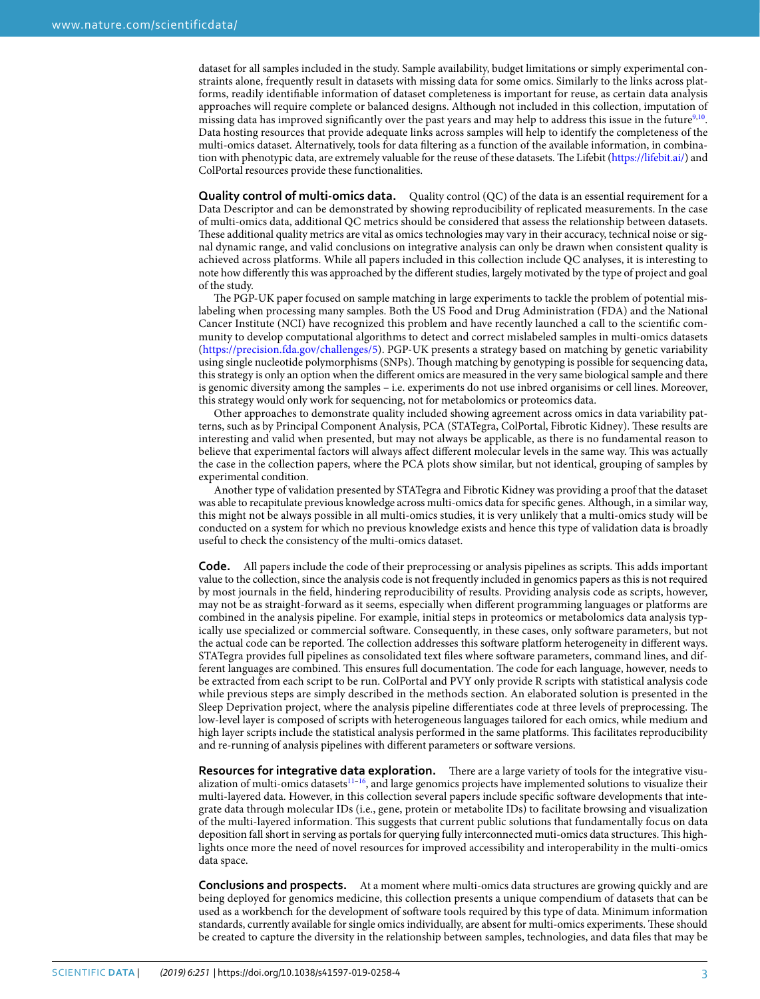dataset for all samples included in the study. Sample availability, budget limitations or simply experimental constraints alone, frequently result in datasets with missing data for some omics. Similarly to the links across platforms, readily identifable information of dataset completeness is important for reuse, as certain data analysis approaches will require complete or balanced designs. Although not included in this collection, imputation of missing data has improved significantly over the past years and may help to address this issue in the future<sup>[9,](#page-3-8)10</sup>. Data hosting resources that provide adequate links across samples will help to identify the completeness of the multi-omics dataset. Alternatively, tools for data fltering as a function of the available information, in combina-tion with phenotypic data, are extremely valuable for the reuse of these datasets. The Lifebit [\(https://lifebit.ai/](https://lifebit.ai/)) and ColPortal resources provide these functionalities.

**Quality control of multi-omics data.** Quality control (QC) of the data is an essential requirement for a Data Descriptor and can be demonstrated by showing reproducibility of replicated measurements. In the case of multi-omics data, additional QC metrics should be considered that assess the relationship between datasets. These additional quality metrics are vital as omics technologies may vary in their accuracy, technical noise or signal dynamic range, and valid conclusions on integrative analysis can only be drawn when consistent quality is achieved across platforms. While all papers included in this collection include QC analyses, it is interesting to note how diferently this was approached by the diferent studies, largely motivated by the type of project and goal of the study.

The PGP-UK paper focused on sample matching in large experiments to tackle the problem of potential mislabeling when processing many samples. Both the US Food and Drug Administration (FDA) and the National Cancer Institute (NCI) have recognized this problem and have recently launched a call to the scientifc community to develop computational algorithms to detect and correct mislabeled samples in multi-omics datasets (<https://precision.fda.gov/challenges/5>). PGP-UK presents a strategy based on matching by genetic variability using single nucleotide polymorphisms (SNPs). Tough matching by genotyping is possible for sequencing data, this strategy is only an option when the diferent omics are measured in the very same biological sample and there is genomic diversity among the samples – i.e. experiments do not use inbred organisims or cell lines. Moreover, this strategy would only work for sequencing, not for metabolomics or proteomics data.

Other approaches to demonstrate quality included showing agreement across omics in data variability patterns, such as by Principal Component Analysis, PCA (STATegra, ColPortal, Fibrotic Kidney). These results are interesting and valid when presented, but may not always be applicable, as there is no fundamental reason to believe that experimental factors will always affect different molecular levels in the same way. This was actually the case in the collection papers, where the PCA plots show similar, but not identical, grouping of samples by experimental condition.

Another type of validation presented by STATegra and Fibrotic Kidney was providing a proof that the dataset was able to recapitulate previous knowledge across multi-omics data for specifc genes. Although, in a similar way, this might not be always possible in all multi-omics studies, it is very unlikely that a multi-omics study will be conducted on a system for which no previous knowledge exists and hence this type of validation data is broadly useful to check the consistency of the multi-omics dataset.

**Code.** All papers include the code of their preprocessing or analysis pipelines as scripts. Tis adds important value to the collection, since the analysis code is not frequently included in genomics papers as this is not required by most journals in the feld, hindering reproducibility of results. Providing analysis code as scripts, however, may not be as straight-forward as it seems, especially when diferent programming languages or platforms are combined in the analysis pipeline. For example, initial steps in proteomics or metabolomics data analysis typically use specialized or commercial sofware. Consequently, in these cases, only sofware parameters, but not the actual code can be reported. The collection addresses this software platform heterogeneity in different ways. STATegra provides full pipelines as consolidated text fles where sofware parameters, command lines, and different languages are combined. This ensures full documentation. The code for each language, however, needs to be extracted from each script to be run. ColPortal and PVY only provide R scripts with statistical analysis code while previous steps are simply described in the methods section. An elaborated solution is presented in the Sleep Deprivation project, where the analysis pipeline differentiates code at three levels of preprocessing. The low-level layer is composed of scripts with heterogeneous languages tailored for each omics, while medium and high layer scripts include the statistical analysis performed in the same platforms. This facilitates reproducibility and re-running of analysis pipelines with diferent parameters or sofware versions.

**Resources for integrative data exploration.** There are a large variety of tools for the integrative visualization of multi-omics datasets<sup>11–16</sup>, and large genomics projects have implemented solutions to visualize their multi-layered data. However, in this collection several papers include specifc sofware developments that integrate data through molecular IDs (i.e., gene, protein or metabolite IDs) to facilitate browsing and visualization of the multi-layered information. Tis suggests that current public solutions that fundamentally focus on data deposition fall short in serving as portals for querying fully interconnected muti-omics data structures. Tis highlights once more the need of novel resources for improved accessibility and interoperability in the multi-omics data space.

**Conclusions and prospects.** At a moment where multi-omics data structures are growing quickly and are being deployed for genomics medicine, this collection presents a unique compendium of datasets that can be used as a workbench for the development of sofware tools required by this type of data. Minimum information standards, currently available for single omics individually, are absent for multi-omics experiments. These should be created to capture the diversity in the relationship between samples, technologies, and data fles that may be